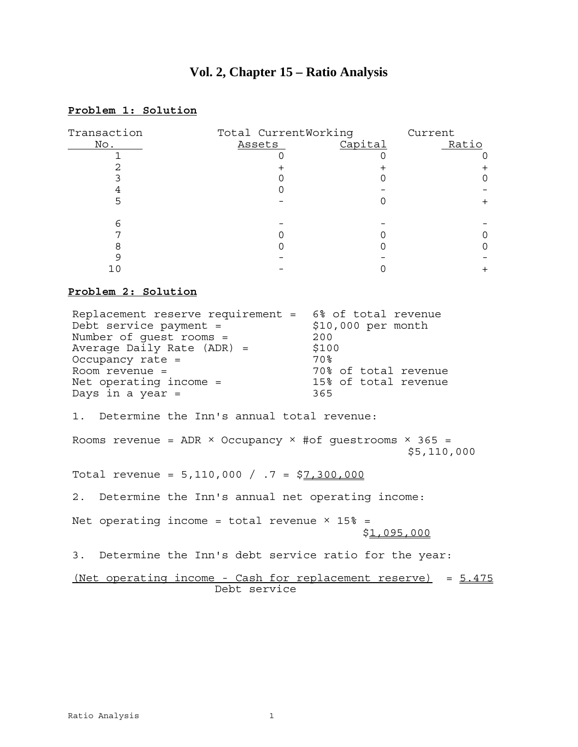# **Vol. 2, Chapter 15 – Ratio Analysis**

# **Problem 1: Solution**

| Transaction                                                                                                                                                                                                                        | Total CurrentWorking                             |                                                                                                   | Current             |  |
|------------------------------------------------------------------------------------------------------------------------------------------------------------------------------------------------------------------------------------|--------------------------------------------------|---------------------------------------------------------------------------------------------------|---------------------|--|
| No.                                                                                                                                                                                                                                | Assets                                           | Capital                                                                                           | Ratio               |  |
| 1                                                                                                                                                                                                                                  | 0                                                | 0                                                                                                 | 0                   |  |
| $\overline{2}$                                                                                                                                                                                                                     | $\,{}^+$                                         | $\ddot{}$                                                                                         | $\pm$               |  |
| $\overline{3}$                                                                                                                                                                                                                     | 0                                                | 0                                                                                                 | $\mathsf{O}\xspace$ |  |
| $\overline{4}$                                                                                                                                                                                                                     | 0                                                |                                                                                                   |                     |  |
| 5                                                                                                                                                                                                                                  |                                                  | 0                                                                                                 | $\pm$               |  |
| 6                                                                                                                                                                                                                                  |                                                  |                                                                                                   |                     |  |
| 7                                                                                                                                                                                                                                  | 0                                                | 0                                                                                                 | 0                   |  |
| 8                                                                                                                                                                                                                                  | 0                                                | 0                                                                                                 | 0                   |  |
| 9                                                                                                                                                                                                                                  | $\equiv$                                         |                                                                                                   |                     |  |
| 10                                                                                                                                                                                                                                 |                                                  | $\Omega$                                                                                          | $+$                 |  |
| Problem 2: Solution                                                                                                                                                                                                                |                                                  |                                                                                                   |                     |  |
| Replacement reserve requirement = 6% of total revenue<br>Debt service payment $=$<br>Number of guest rooms =<br>Average Daily Rate (ADR) =<br>Occupancy rate =<br>Room revenue =<br>Net operating income $=$<br>Days in a year $=$ |                                                  | $$10,000$ per month<br>200<br>\$100<br>70%<br>70% of total revenue<br>15% of total revenue<br>365 |                     |  |
| 1.                                                                                                                                                                                                                                 | Determine the Inn's annual total revenue:        |                                                                                                   |                     |  |
| Rooms revenue = ADR $\times$ Occupancy $\times$ #of questrooms $\times$ 365 =                                                                                                                                                      |                                                  |                                                                                                   | \$5,110,000         |  |
| Total revenue = 5,110,000 / .7 = \$7,300,000                                                                                                                                                                                       |                                                  |                                                                                                   |                     |  |
| 2.                                                                                                                                                                                                                                 | Determine the Inn's annual net operating income: |                                                                                                   |                     |  |
| Net operating income = total revenue $\times$ 15% =                                                                                                                                                                                |                                                  |                                                                                                   | \$ <u>1,095,000</u> |  |
| 3. Determine the Inn's debt service ratio for the year:                                                                                                                                                                            |                                                  |                                                                                                   |                     |  |
| <u>(Net operating income - Cash for replacement reserve)</u><br>$= 5.475$<br>Debt service                                                                                                                                          |                                                  |                                                                                                   |                     |  |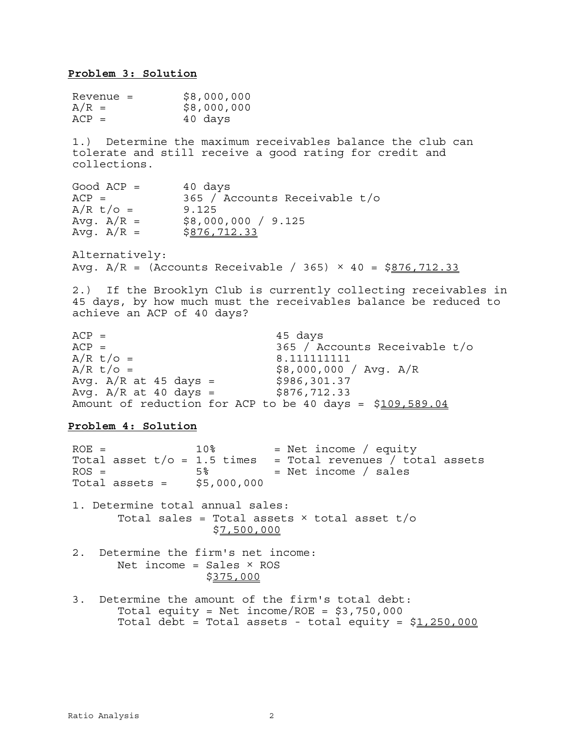**Problem 3: Solution** Revenue = \$8,000,000  $A/R =$  \$8,000,000<br> $ACP =$  40 davs 40 days 1.) Determine the maximum receivables balance the club can tolerate and still receive a good rating for credit and collections.  $Good ACP = 40 days$ ACP = 365 / Accounts Receivable t/o  $A/R$  t/o = 9.125 Avg. A/R = \$8,000,000 / 9.125 Avg. A/R = \$<u>876,712.33</u> Alternatively: Avg.  $A/R = (Accounts Receivable / 365) \times 40 = $876,712.33$ 2.) If the Brooklyn Club is currently collecting receivables in 45 days, by how much must the receivables balance be reduced to achieve an ACP of 40 days?  $ACP =$  45 days  $ACP =$ <br> $A/R \tto /o =$ <br> $B.111111111$ <br> $B.111111111$ 8.11111111  $A/R$  t/o = \$8,000,000 / Avg.  $A/R$ Avg.  $A/R$  at 45 days = \$986,301.37 Avg.  $A/R$  at 40 days = \$876,712.33 Amount of reduction for ACP to be 40 days = \$109,589.04 **Problem 4: Solution**  $ROE =$  10% = Net income / equity Total asset  $t/o = 1.5$  times = Total revenues / total assets  $ROS =$  5% = Net income / sales Total assets =  $$5,000,000$ 1. Determine total annual sales: Total sales = Total assets  $\times$  total asset t/o \$7,500,000 2. Determine the firm's net income: Net income = Sales  $\times$  ROS \$375,000 3. Determine the amount of the firm's total debt: Total equity = Net income/ROE =  $$3,750,000$ Total debt = Total assets - total equity =  $$1,250,000$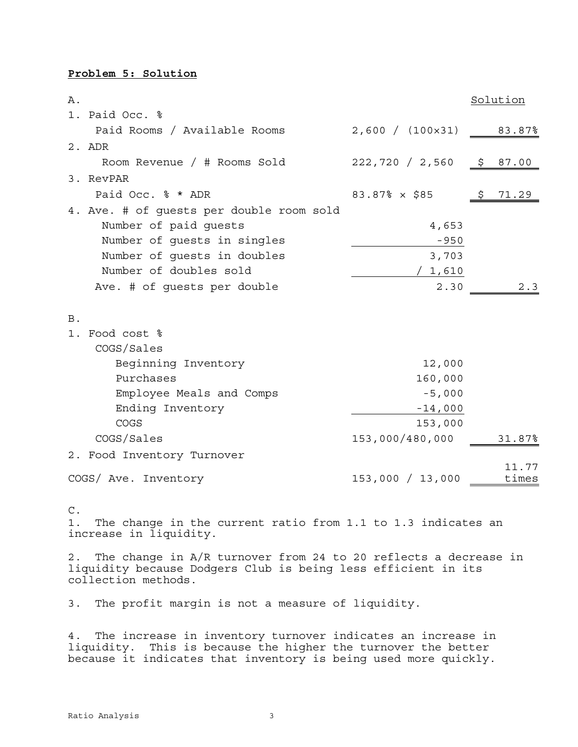#### **Problem 5: Solution**

| Α.         |                                          |                                  |     | Solution       |
|------------|------------------------------------------|----------------------------------|-----|----------------|
|            | 1. Paid Occ. %                           |                                  |     |                |
|            | Paid Rooms / Available Rooms             | $2,600 / (100 \times 31)$ 83.87% |     |                |
|            | $2.$ ADR                                 |                                  |     |                |
|            | Room Revenue / # Rooms Sold              | 222,720 / 2,560                  |     | \$87.00        |
|            | 3. RevPAR                                |                                  |     |                |
|            | Paid Occ. % * ADR                        | $83.87% \times $85$              | \$. | 71.29          |
|            | 4. Ave. # of guests per double room sold |                                  |     |                |
|            | Number of paid quests                    | 4,653                            |     |                |
|            | Number of quests in singles              | $-950$                           |     |                |
|            | Number of quests in doubles              | 3,703                            |     |                |
|            | Number of doubles sold                   | 1,610                            |     |                |
|            | Ave. # of guests per double              | 2.30                             |     | 2.3            |
|            |                                          |                                  |     |                |
| <b>B</b> . |                                          |                                  |     |                |
|            | 1. Food cost %                           |                                  |     |                |
|            | COGS/Sales                               |                                  |     |                |
|            | Beginning Inventory                      | 12,000                           |     |                |
|            | Purchases                                | 160,000                          |     |                |
|            | Employee Meals and Comps                 | $-5,000$                         |     |                |
|            | Ending Inventory                         | $-14,000$                        |     |                |
|            | COGS                                     | 153,000                          |     |                |
|            | COGS/Sales                               | 153,000/480,000                  |     | 31.87%         |
|            | 2. Food Inventory Turnover               |                                  |     |                |
|            | COGS/ Ave. Inventory                     | 153,000 / 13,000                 |     | 11.77<br>times |
|            |                                          |                                  |     |                |

C.

1. The change in the current ratio from 1.1 to 1.3 indicates an increase in liquidity.

2. The change in A/R turnover from 24 to 20 reflects a decrease in liquidity because Dodgers Club is being less efficient in its collection methods.

3. The profit margin is not a measure of liquidity.

4. The increase in inventory turnover indicates an increase in liquidity. This is because the higher the turnover the better because it indicates that inventory is being used more quickly.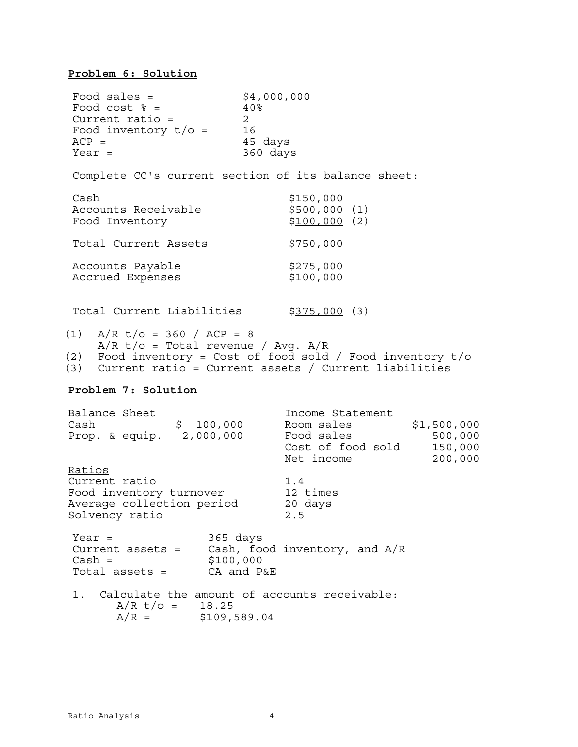#### **Problem 6: Solution**

 $\text{Food sales} = \$4,000,000$ <br>Food cost  $\text{\$ = \$40\%}$ Food cost  $\frac{1}{6}$  = Current ratio =  $2$ <br>Food inventory  $t/\sigma = 16$ Food inventory  $t/\sigma =$ ACP = 45 days<br>Year = 45 days 360 days Complete CC's current section of its balance sheet: Cash \$150,000 Accounts Receivable  $$500,000$  (1) Food Inventory  $$100,000$  (2) Total Current Assets \$750,000 Accounts Payable  $$275,000$ Accrued Expenses  $$100,000$ Total Current Liabilities \$375,000 (3) (1)  $A/R$  t/o = 360 / ACP = 8  $A/R$  t/o = Total revenue / Avg.  $A/R$ (2) Food inventory = Cost of food sold / Food inventory t/o (3) Current ratio = Current assets / Current liabilities **Problem 7: Solution** Balance Sheet Income Statement Cash \$ 100,000 Room sales \$1,500,000<br>Drop Secuin 2,000,000 Food sales \$1,500,000 Prop. & equip. 2,000,000 Food sales 500,000 Pood sales<br>Cost of food sold 150,000 Net income 200,000 Ratios Current ratio 1.4 Food inventory turnover Average collection period Solvency ratio 2.5  $Year =$  365 days Current assets = Cash, food inventory, and A/R  $Cash =$  \$100,000 Total assets = CA and P&E 1. Calculate the amount of accounts receivable:  $A/R$  t/o = 18.25  $A/R =$  \$109,589.04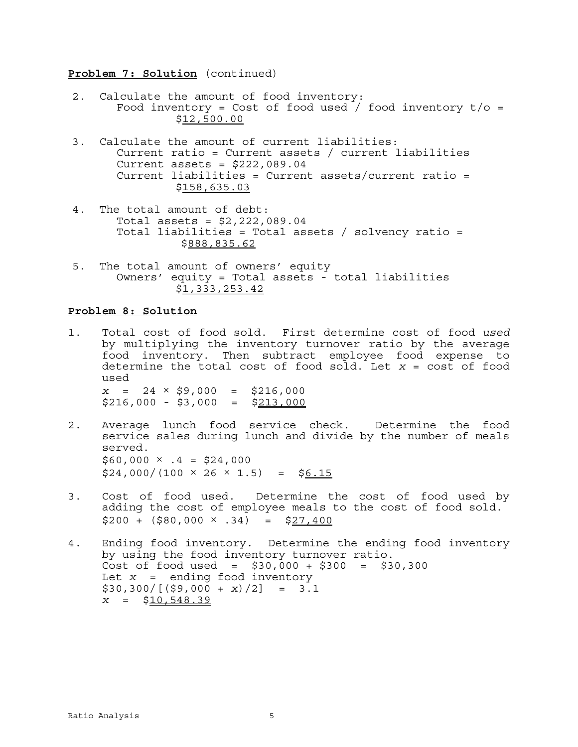#### **Problem 7: Solution** (continued)

- 2. Calculate the amount of food inventory: Food inventory = Cost of food used / food inventory  $t/o =$ \$12,500.00
- 3. Calculate the amount of current liabilities: Current ratio = Current assets / current liabilities Current assets =  $$222,089.04$  Current liabilities = Current assets/current ratio = \$158,635.03
- 4. The total amount of debt: Total assets = \$2,222,089.04 Total liabilities = Total assets / solvency ratio = \$888,835.62
- 5. The total amount of owners' equity Owners' equity = Total assets - total liabilities \$1,333,253.42

#### **Problem 8: Solution**

- 1. Total cost of food sold. First determine cost of food *used* by multiplying the inventory turnover ratio by the average food inventory. Then subtract employee food expense to determine the total cost of food sold. Let *x* = cost of food used  $x = 24 \times $9,000 = $216,000$  $$216,000 - $3,000 = $213,000$
- 2. Average lunch food service check. Determine the food service sales during lunch and divide by the number of meals served.  $$60,000 \times .4 = $24,000$  $$24,000/(100 \times 26 \times 1.5) = $6.15$
- 3. Cost of food used. Determine the cost of food used by adding the cost of employee meals to the cost of food sold.  $$200 + (580,000 \times .34) = $27,400$
- 4. Ending food inventory. Determine the ending food inventory by using the food inventory turnover ratio. Cost of food used =  $$30,000 + $300 = $30,300$ Let *x* = ending food inventory  $$30,300/[($9,000 + x)/2] = 3.1$  $x = $10,548.39$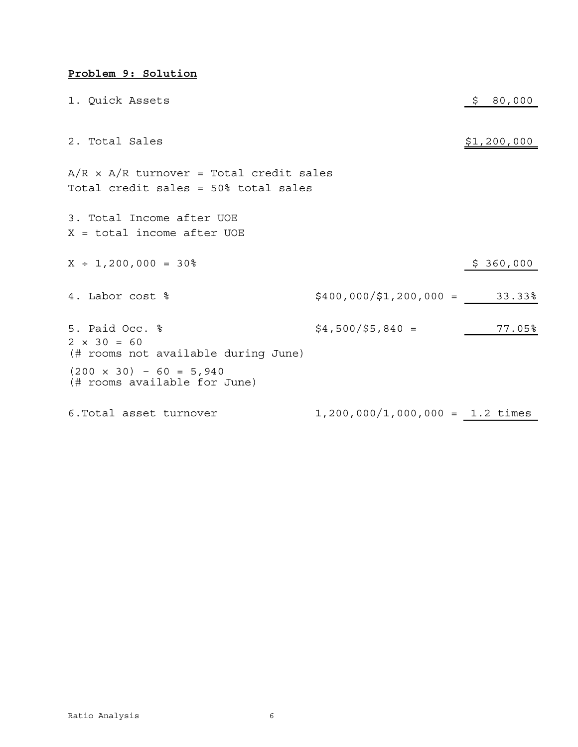## **Problem 9: Solution**

| 1. Quick Assets                                                                        |                                           | 80,000      |
|----------------------------------------------------------------------------------------|-------------------------------------------|-------------|
|                                                                                        |                                           |             |
| 2. Total Sales                                                                         |                                           | \$1,200,000 |
| $A/R \times A/R$ turnover = Total credit sales<br>Total credit sales = 50% total sales |                                           |             |
| 3. Total Income after UOE<br>$X = total income after UOE$                              |                                           |             |
| $X ÷ 1,200,000 = 30%$                                                                  |                                           | \$360,000   |
| 4. Labor cost %                                                                        | $$400,000/\$1,200,000 = 33.33\%$          |             |
| 5. Paid Occ. %<br>$2 \times 30 = 60$<br>(# rooms not available during June)            | $$4,500/\$5,840 =$                        | 77.05%      |
| $(200 \times 30) - 60 = 5,940$<br>(# rooms available for June)                         |                                           |             |
| 6. Total asset turnover                                                                | $1,200,000/1,000,000 = 1.2 \text{ times}$ |             |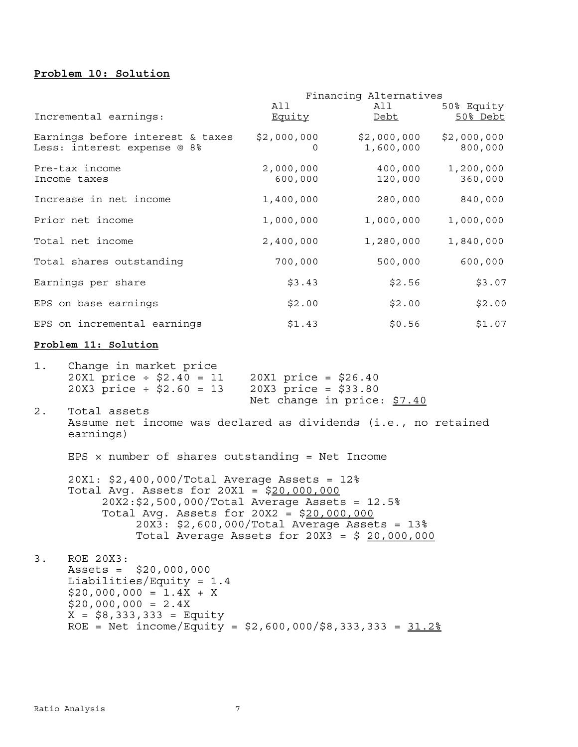#### **Problem 10: Solution**

|                                                                                          | Financing Alternatives                           |                             |             |
|------------------------------------------------------------------------------------------|--------------------------------------------------|-----------------------------|-------------|
|                                                                                          | All                                              | All                         | 50% Equity  |
| Incremental earnings:                                                                    | <u>Equity</u>                                    | Debt                        | 50% Debt    |
| Earnings before interest & taxes                                                         | \$2,000,000                                      | \$2,000,000                 | \$2,000,000 |
| Less: interest expense @ 8%                                                              | $\Omega$                                         | 1,600,000                   | 800,000     |
| Pre-tax income                                                                           | 2,000,000                                        | 400,000                     | 1,200,000   |
| Income taxes                                                                             | 600,000                                          | 120,000                     | 360,000     |
| Increase in net income                                                                   | 1,400,000                                        | 280,000                     | 840,000     |
| Prior net income                                                                         | 1,000,000                                        | 1,000,000                   | 1,000,000   |
| Total net income                                                                         | 2,400,000                                        | 1,280,000                   | 1,840,000   |
| Total shares outstanding                                                                 | 700,000                                          | 500,000                     | 600,000     |
| Earnings per share                                                                       | \$3.43                                           | \$2.56                      | \$3.07      |
| EPS on base earnings                                                                     | \$2.00                                           | \$2.00                      | \$2.00      |
| EPS on incremental earnings                                                              | \$1.43                                           | \$0.56                      | \$1.07      |
| Problem 11: Solution                                                                     |                                                  |                             |             |
| 1.<br>Change in market price<br>$20X1$ price ÷ \$2.40 = 11<br>$20X3$ price ÷ \$2.60 = 13 | $20X1$ price = \$26.40<br>$20X3$ price = \$33.80 | Net change in price: \$7.40 |             |
| $2$ .<br>Total assets                                                                    |                                                  |                             |             |

 Assume net income was declared as dividends (i.e., no retained earnings)

EPS  $\times$  number of shares outstanding = Net Income

 20X1: \$2,400,000/Total Average Assets = 12% Total Avg. Assets for 20X1 = \$20,000,000 20X2:\$2,500,000/Total Average Assets = 12.5% Total Avg. Assets for 20X2 = \$20,000,000 20X3: \$2,600,000/Total Average Assets = 13% Total Average Assets for 20X3 = \$ 20,000,000

3. ROE 20X3: Assets = \$20,000,000 Liabilities/Equity = 1.4  $$20,000,000 = 1.4X + X$  $$20,000,000 = 2.4X$  $X = $8,333,333 =$  Equity ROE = Net income/Equity =  $$2,600,000$ / $$8,333,333 = 31.2$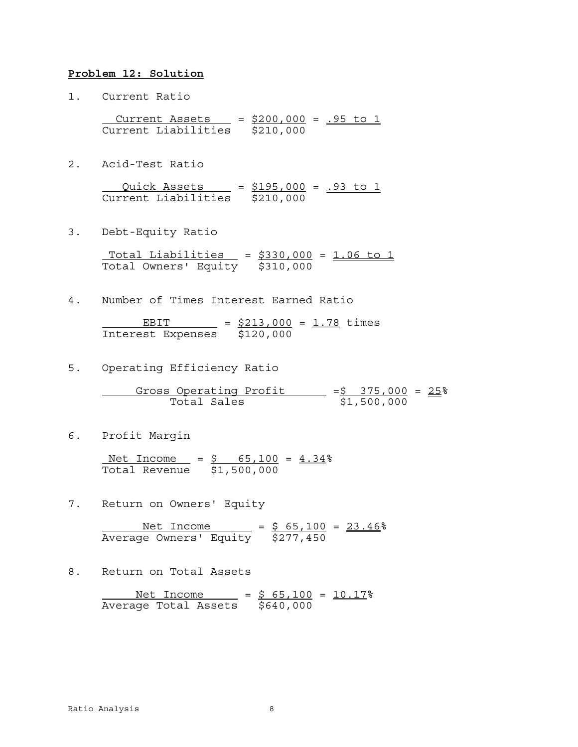#### **Problem 12: Solution**

1. Current Ratio

 $Current Assets = $200,000 = .95 to 1$ Current Liabilities \$210,000

2. Acid-Test Ratio

Quick Assets = \$195,000 = .93 to 1 Current Liabilities \$210,000

3. Debt-Equity Ratio

Total Liabilities  $= $330,000 = 1.06$  to 1 Total Owners' Equity \$310,000

4. Number of Times Interest Earned Ratio

EBIT =  $$213,000 = 1.78$  times Interest Expenses \$120,000

5. Operating Efficiency Ratio

Gross Operating Profit  $=$   $\frac{5}{5}$   $\frac{375,000}{51,500,000}$  =  $\frac{25}{5}$ Total Sales

6. Profit Margin

Net Income =  $$ 65,100 = 4.34$ Total Revenue \$1,500,000

7. Return on Owners' Equity

 $N$ et Income =  $$ 65,100 = 23.46$ Average Owners' Equity \$277,450

8. Return on Total Assets

Net Income =  $$ 65,100 = 10.17$ Average Total Assets \$640,000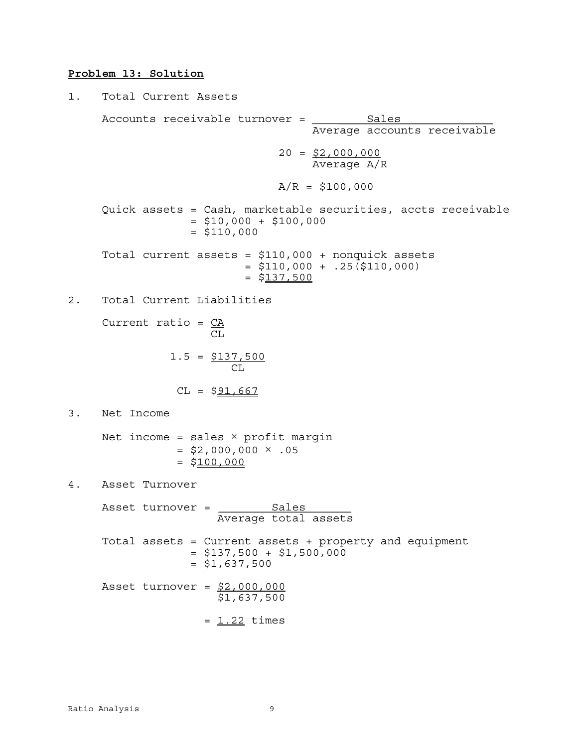# **Problem 13: Solution**

1. Total Current Assets  
\nAccounts receiveable turnover = 
$$
\frac{Sales}{Average accounts receiveable}
$$
\n20 = 
$$
\frac{52,000,000}{Average A/R}
$$
\n20 = 
$$
\frac{52,000,000}{Average A/R}
$$
\n20 = 
$$
\frac{510,000}{2}
$$
\n21 = 
$$
\frac{510,000 + 100,000}{4} = 100,000
$$
\n22 = 
$$
\frac{5110,000 + 100,000}{4} = 100,000 + 100,000
$$
\n23 = 
$$
\frac{5110,000 + 1000}{4} = 100,000 + 100,000
$$
\n24. Total Current Liabilities  
\nCurrent ratio = 
$$
\frac{CA}{CL}
$$
\n25 = 
$$
\frac{1.5}{CL} = \frac{5137,500}{CL}
$$
\n26 = 
$$
\frac{591,667}{CL}
$$
\n37. Net Income  
\nNet income = sales × profit margin = 
$$
\frac{52,000,000 \times .05}{4} = 100,000
$$
\n48. Asset turnover = 
$$
\frac{Sales}{Average total assets}
$$
\n38. Total assets = Current assets + property and equipment = 
$$
\frac{510,500}{4} = 100,000
$$
\n49. Asset turnover = 
$$
\frac{Sales}{1000 + 1000} = 100,000
$$
\n41. 
$$
\frac{1.337,500}{4} = 100,000
$$
\n42. 
$$
\frac{1.337,500}{4} = 100,000
$$
\n43. 
$$
\frac{1.337,500}{4} = 100,000
$$
\n44. 
$$
\frac{1.337,500}{4} = 100,000
$$
\n45. 
$$
\frac{1.32}{4} = 100,000
$$
\n46. 
$$
\frac{1.32}{4} = 100,000
$$
\n47. 
$$
\frac{1.32}{4} = 100,000
$$
\n48. 
$$
\frac{1.32}{4
$$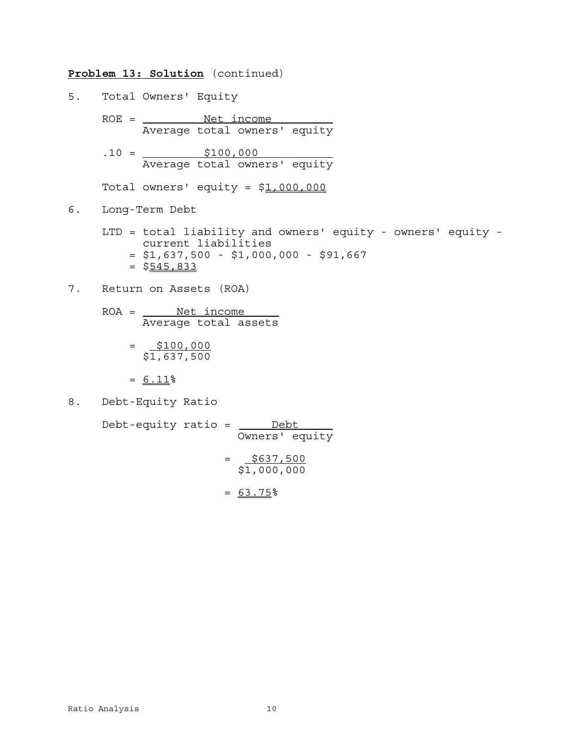#### **Problem 13: Solution** (continued)

- 5. Total Owners' Equity
	- $ROE =$   $Net income$ </u> Average total owners' equity
	- $.10 = \underline{\hspace{1.5em}} 100,000$ Average total owners' equity

Total owners' equity =  $$1,000,000$ 

- 6. Long-Term Debt
	- LTD = total liability and owners' equity owners' equity current liabilities  $= $1,637,500 - $1,000,000 - $91,667$  $=$  \$545,833
- 7. Return on Assets (ROA)
	- $ROA =$  <u>Net income</u> Average total assets
		- $= 5100,000$ \$1,637,500
		- $= 6.11$ %
- 8. Debt-Equity Ratio

Debt-equity ratio =  $\frac{\text{Debt}}{\text{Debt}}$ Owners' equity  $=\frac{$637,500}{$1,000,000}$  $= 63.75%$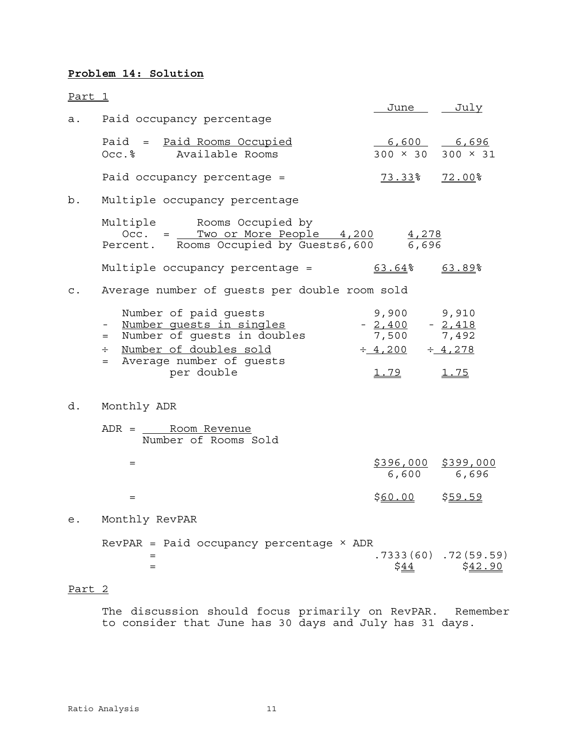## **Problem 14: Solution**

| <u>Part 1</u>  |                                                                                                                                                            | <u>June July</u>                                                       |                                           |
|----------------|------------------------------------------------------------------------------------------------------------------------------------------------------------|------------------------------------------------------------------------|-------------------------------------------|
| а.             | Paid occupancy percentage                                                                                                                                  |                                                                        |                                           |
|                | Paid = Paid Rooms Occupied<br>Occ.% Available Rooms                                                                                                        | $6,600$ $6,696$<br>$300 \times 30$ 300 $\times 31$                     |                                           |
|                | Paid occupancy percentage =                                                                                                                                | 73.33%                                                                 | <u>72.00</u> %                            |
| b.             | Multiple occupancy percentage                                                                                                                              |                                                                        |                                           |
|                | Multiple Rooms Occupied by<br>Occ. = Two or More People 4,200<br>Percent. Rooms Occupied by Guests6,600 6,696                                              | 4,278                                                                  |                                           |
|                | Multiple occupancy percentage =                                                                                                                            | 63.64%                                                                 | 63.89%                                    |
| $\mathsf{C}$ . | Average number of guests per double room sold                                                                                                              |                                                                        |                                           |
|                | Number of paid guests<br>Number quests in singles<br>= Number of guests in doubles<br>÷ Number of doubles sold<br>= Average number of guests<br>per double | 9,900<br>$-2,400$<br>7,500<br>$\div$ 4,200 $\div$ 4,278<br><u>1.79</u> | 9,910<br>$-2,418$<br>7,492<br><u>1.75</u> |
| d.             | Monthly ADR                                                                                                                                                |                                                                        |                                           |
|                | Number of Rooms Sold                                                                                                                                       |                                                                        |                                           |
|                | $=$                                                                                                                                                        | $$396,000$ $$399,000$<br>6,600                                         | 6,696                                     |
|                | $=$                                                                                                                                                        | \$60.00                                                                | <u>\$59.59</u>                            |
| е.             | Monthly RevPAR                                                                                                                                             |                                                                        |                                           |
|                | $RevPAR =$ Paid occupancy percentage $\times$ ADR<br>$=$<br>$=$                                                                                            | \$ <u>44</u>                                                           | $.7333(60)$ $.72(59.59)$<br>\$42.90       |

## Part 2

The discussion should focus primarily on RevPAR. Remember to consider that June has 30 days and July has 31 days.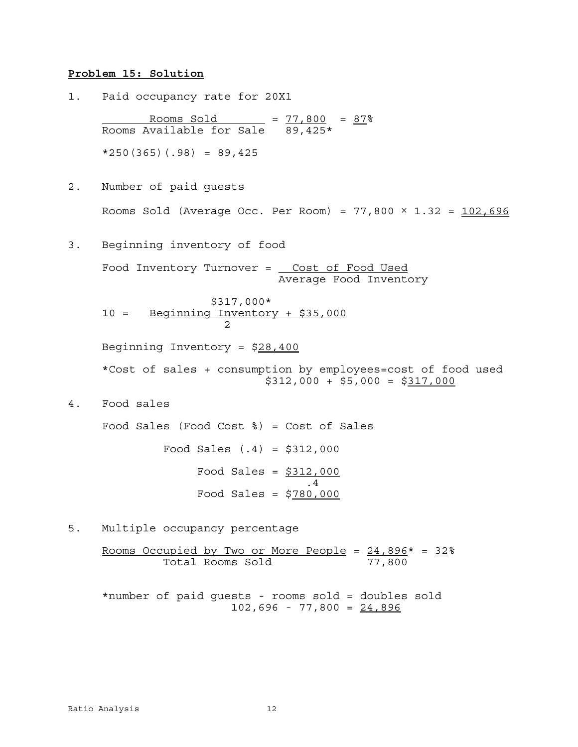#### **Problem 15: Solution**

1. Paid occupancy rate for 20X1

Rooms Sold  $= 77,800 = 87$ Rooms Available for Sale 89,425\*  $*250(365)(.98) = 89,425$ 

- 2. Number of paid guests Rooms Sold (Average Occ. Per Room) =  $77,800 \times 1.32 = 102,696$
- 3. Beginning inventory of food

Food Inventory Turnover = \_ Cost of Food Used Average Food Inventory

 \$317,000\* 10 = Beginning Inventory + \$35,000 2

Beginning Inventory = \$28,400

\*Cost of sales + consumption by employees=cost of food used  $$312,000 + $5,000 = $317,000$ 

4. Food sales

Food Sales (Food Cost %) = Cost of Sales Food Sales  $(.4) = $312,000$ Food Sales =  $$312,000$  .4 Food Sales = \$780,000

5. Multiple occupancy percentage

Rooms Occupied by Two or More People =  $24,896*$  =  $32*$ Total Rooms Sold 77,800

\*number of paid guests - rooms sold = doubles sold  $102,696 - 77,800 = 24,896$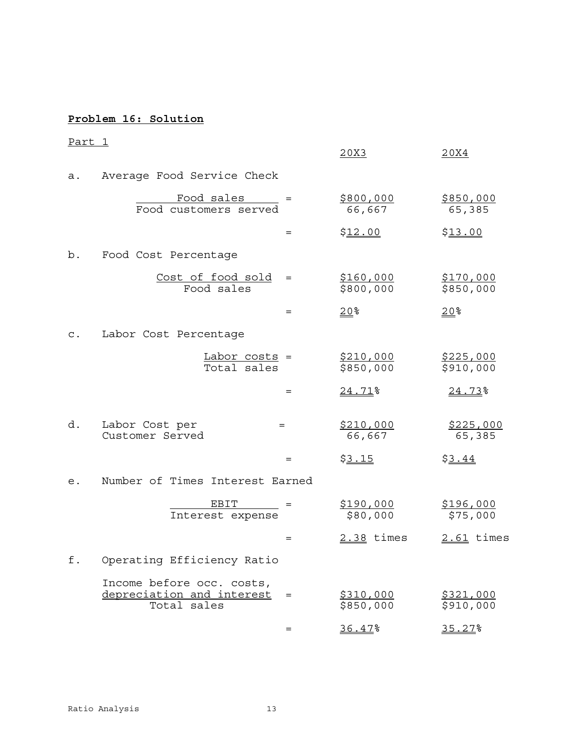# **Problem 16: Solution**

| <u>Part 1</u>  |                                                                         |     | 20X3                          | 20X4                          |
|----------------|-------------------------------------------------------------------------|-----|-------------------------------|-------------------------------|
| а.             | Average Food Service Check                                              |     |                               |                               |
|                | Food sales =<br>Food customers served                                   |     | \$800,000<br>66,667           | <u>\$850,000</u><br>65,385    |
|                |                                                                         | $=$ | \$12.00                       | \$13.00                       |
| b.             | Food Cost Percentage                                                    |     |                               |                               |
|                | Cost of food sold<br>Food sales                                         | $=$ | \$160,000<br>\$800,000        | <u>\$170,000</u><br>\$850,000 |
|                |                                                                         | $=$ | $20$ %                        | $20$ %                        |
| $\mathsf{C}$ . | Labor Cost Percentage                                                   |     |                               |                               |
|                | Labor costs =<br>Total sales                                            |     | <u>\$210,000</u><br>\$850,000 | <u>\$225,000</u><br>\$910,000 |
|                |                                                                         | $=$ | 24.71%                        | 24.73%                        |
| d.             | Labor Cost per<br>Customer Served                                       | $=$ | \$210,000<br>66,667           | \$225,000<br>65,385           |
|                |                                                                         | $=$ | \$3.15                        | \$3.44                        |
| е.             | Number of Times Interest Earned                                         |     |                               |                               |
|                | $EBIT$ =<br>Interest expense                                            |     | <u>\$190,000</u><br>\$80,000  | <u>\$196,000</u><br>\$75,000  |
|                |                                                                         | $=$ | 2.38 times                    | 2.61 times                    |
| f.             | Operating Efficiency Ratio                                              |     |                               |                               |
|                | Income before occ. costs,<br>depreciation and interest =<br>Total sales |     | <u>\$310,000</u><br>\$850,000 | \$321,000<br>\$910,000        |
|                |                                                                         | $=$ | 36.47%                        | 35.27%                        |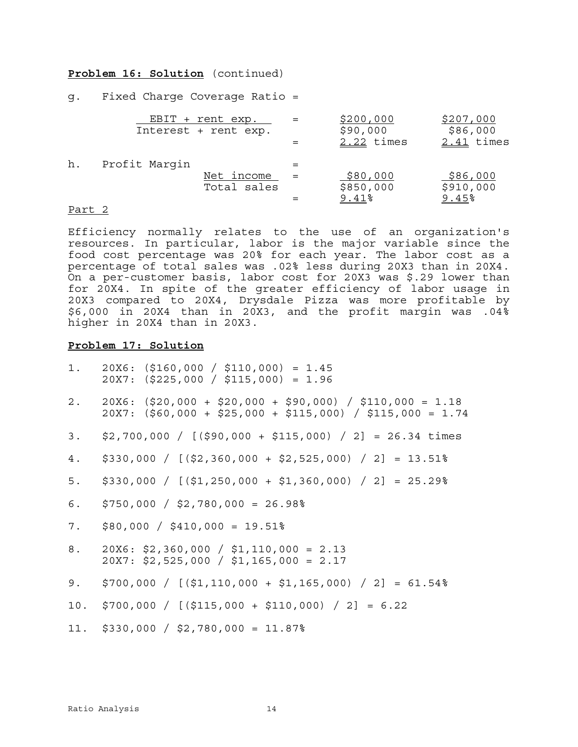#### **Problem 16: Solution** (continued)

g. Fixed Charge Coverage Ratio =

|    |               | EBIT + rent exp.<br>Interest + rent exp. |     | \$200,000<br>\$90,000<br>2.22 times | \$207,000<br>\$86,000<br>$2.41$ times |
|----|---------------|------------------------------------------|-----|-------------------------------------|---------------------------------------|
| h. | Profit Marqin | Net income<br>Total sales                | $=$ | \$80,000<br>\$850,000<br>9.41%      | \$86,000<br>\$910,000<br>9.45%        |
|    |               |                                          |     |                                     |                                       |

#### Part 2

Efficiency normally relates to the use of an organization's resources. In particular, labor is the major variable since the food cost percentage was 20% for each year. The labor cost as a percentage of total sales was .02% less during 20X3 than in 20X4. On a per-customer basis, labor cost for 20X3 was \$.29 lower than for 20X4. In spite of the greater efficiency of labor usage in 20X3 compared to 20X4, Drysdale Pizza was more profitable by \$6,000 in 20X4 than in 20X3, and the profit margin was .04% higher in 20X4 than in 20X3.

#### **Problem 17: Solution**

|    | 1. $20X6:$ $($160,000 / $110,000) = 1.45$<br>$20X7:$ (\$225,000 / \$115,000) = 1.96                                          |
|----|------------------------------------------------------------------------------------------------------------------------------|
|    | 2. 20X6: $(520,000 + 520,000 + 590,000)$ / $5110,000 = 1.18$<br>$20X7:$ (\$60,000 + \$25,000 + \$115,000) / \$115,000 = 1.74 |
| 3. | \$2,700,000 / [(\$90,000 + \$115,000) / 2] = 26.34 times                                                                     |
| 4. | $$330,000 / [($2,360,000 + $2,525,000) / 2] = 13.51%$                                                                        |
| 5. | $$330,000 / [($1,250,000 + $1,360,000) / 2] = 25.29%$                                                                        |
| 6. | $$750,000 / $2,780,000 = 26.98$                                                                                              |
| 7. | $$80,000$ / $$410,000 = 19.51\%$                                                                                             |
| 8. | $20X6: $2,360,000 / $1,110,000 = 2.13$<br>$20X7: $2,525,000 / $1,165,000 = 2.17$                                             |
| 9. | $$700,000$ / [(\$1,110,000 + \$1,165,000) / 2] = 61.54%                                                                      |
|    | 10. \$700,000 / [(\$115,000 + \$110,000) / 2] = 6.22                                                                         |
|    | 11. $$330,000 / $2,780,000 = 11.87$                                                                                          |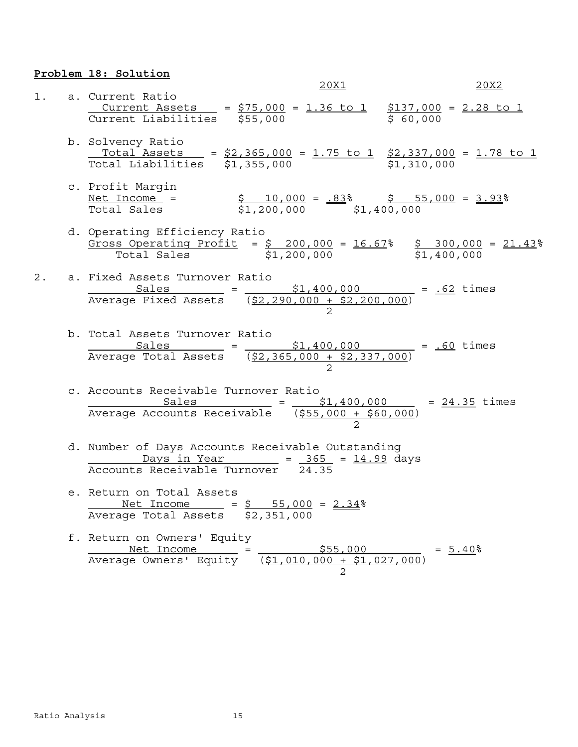## **Problem 18: Solution**

|  | 20X1                                                                                                                                                                                                                                                                                                                                                                               | 20X2 |
|--|------------------------------------------------------------------------------------------------------------------------------------------------------------------------------------------------------------------------------------------------------------------------------------------------------------------------------------------------------------------------------------|------|
|  | 1. a. Current Ratio<br>$\begin{tabular}{lllll} \multicolumn{4}{c }{Current & Assets} & = & $\frac{\$75,000}{000} = $ \frac{1.36 \text{ to } 1}{3000} $ & $\frac{\$137,000}{000} = $ \frac{2.28 \text{ to } 1}{2}$ \\ \multicolumn{4}{c }{Current \text{ Liabilities}} & $\frac{\$55,000}{000} & $\frac{\$000}{000} $ & $\frac{\$00,000}{000} $ \\ \end{tabular}$                   |      |
|  | b. Solvency Ratio<br>$\begin{array}{rcl} \text{Total } \texttt{Assets} & = & \frac{52,365,000}{52,335,000} = & \frac{1.75 \text{ to } 1}{52,337,000} = & \frac{1.78 \text{ to } 1}{51,310,000} \end{array}$                                                                                                                                                                        |      |
|  | c. Profit Margin<br><u>Net Income</u> = $\frac{$10,000}{1,200,000} = \frac{.83}{1,400,000} = \frac{5}{3.93}$<br>Total Sales                                                                                                                                                                                                                                                        |      |
|  | d. Operating Efficiency Ratio<br>$\frac{\text{Gross Operating Project}}{\text{Total Sales}} = \frac{$200,000}{1,200,000} = \frac{16.67}{16.67} = \frac{$300,000}{1,400,000} = \frac{21.43}{16.67} = \frac{21.43}{16.67} = \frac{21.43}{16.67} = \frac{21.43}{16.67} = \frac{21.43}{16.67} = \frac{21.43}{16.67} = \frac{21.43}{16.67} = \frac{21.43}{16.67} = \frac{21.43}{16.67}$ |      |
|  | 2. a. Fixed Assets Turnover Ratio<br>Sales = $\frac{$1,400,000}{$2,290,000 + $2,200,000}$ = $\frac{.62}{.62}$ times                                                                                                                                                                                                                                                                |      |
|  | b. Total Assets Turnover Ratio<br>Sales = $\frac{$1,400,000}{$2,365,000 + $2,337,000}$ = $\frac{.60}{.60}$ times                                                                                                                                                                                                                                                                   |      |
|  | c. Accounts Receivable Turnover Ratio<br>Sales $Sales$ = $\frac{$1,400,000}{$55,000 + $60,000}$ = $\frac{24.35}{2}$ times                                                                                                                                                                                                                                                          |      |
|  | d. Number of Days Accounts Receivable Outstanding<br>Days in Year = 365 = 14.99 days<br>Accounts Receivable Turnover 24.35                                                                                                                                                                                                                                                         |      |
|  | e. Return on Total Assets<br>Met Income = $\frac{1}{5}$ 55,000 = $2.34\%$<br>Average Total Assets \$2,351,000                                                                                                                                                                                                                                                                      |      |
|  | f. Return on Owners' Equity<br>Net Income = $$55,000$ = $5.40$<br>Average Owners' Equity $(51,010,000 + 51,027,000)$ = $5.40$                                                                                                                                                                                                                                                      |      |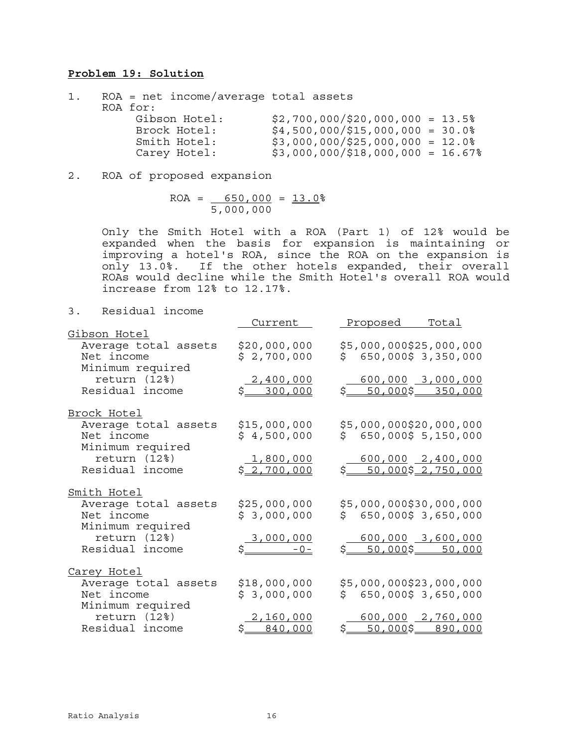#### **Problem 19: Solution**

| $ROA = net income/average total assets$ |                                     |
|-----------------------------------------|-------------------------------------|
| ROA for:                                |                                     |
| Gibson Hotel:                           | $$2,700,000$ /\$20,000,000 = 13.5%  |
| Brock Hotel:                            | $$4,500,000$ /\$15,000,000 = 30.0%  |
| Smith Hotel:                            | $$3,000,000$ /\$25,000,000 = 12.0%  |
| Carey Hotel:                            | $$3,000,000$ /\$18,000,000 = 16.67% |

2. ROA of proposed expansion

 $ROA = 650,000 = 13.0$ 5,000,000

Only the Smith Hotel with a ROA (Part 1) of 12% would be expanded when the basis for expansion is maintaining or improving a hotel's ROA, since the ROA on the expansion is only 13.0%. If the other hotels expanded, their overall ROAs would decline while the Smith Hotel's overall ROA would increase from 12% to 12.17%.

3. Residual income

| . ر<br>REDIUUAI IIIUUME   |                             |                                          |                     |
|---------------------------|-----------------------------|------------------------------------------|---------------------|
|                           | Current                     | Proposed                                 | <u>Total</u>        |
| Gibson Hotel              |                             |                                          |                     |
| Average total assets      | \$20,000,000                | \$5,000,000\$25,000,000                  |                     |
| Net income                | \$2,700,000                 | S.                                       | 650,000\$ 3,350,000 |
| Minimum required          |                             |                                          |                     |
| return (12%)              |                             |                                          | $600,000$ 3,000,000 |
| Residual income           | $\frac{2,400,000}{300,000}$ | \$50,000\$350,000                        |                     |
|                           |                             |                                          |                     |
| Brock Hotel               |                             |                                          |                     |
| Average total assets      | \$15,000,000                | \$5,000,000\$20,000,000                  |                     |
| Net income                | \$4,500,000                 | \$650,000\$5,150,000                     |                     |
|                           |                             |                                          |                     |
| Minimum required          |                             |                                          |                     |
| return (12 <sup>8</sup> ) | 1,800,000                   |                                          | $600,000$ 2,400,000 |
| Residual income           | \$2,700,000                 | \$50,000\$2,750,000                      |                     |
|                           |                             |                                          |                     |
| Smith Hotel               |                             |                                          |                     |
| Average total assets      | \$25,000,000                | \$5,000,000\$30,000,000                  |                     |
| Net income                | \$3,000,000                 | \$650,000\$3,650,000                     |                     |
| Minimum required          |                             |                                          |                     |
| return (12%)              |                             |                                          | $600,000$ 3,600,000 |
| Residual income           | $\frac{3,000,000}{-0}$      | \$50,000\$50,000                         |                     |
|                           |                             |                                          |                     |
| <u>Carey Hotel</u>        |                             |                                          |                     |
| Average total assets      | \$18,000,000                | \$5,000,000\$23,000,000                  |                     |
| Net income                | \$3,000,000                 | \$650,000\$3,650,000                     |                     |
|                           |                             |                                          |                     |
| Minimum required          |                             |                                          |                     |
| return (12%)              | 2,160,000                   |                                          | $600,000$ 2,760,000 |
| Residual income           | \$ 840,000                  | \$ <u>___50,000</u> \$___ <u>890,000</u> |                     |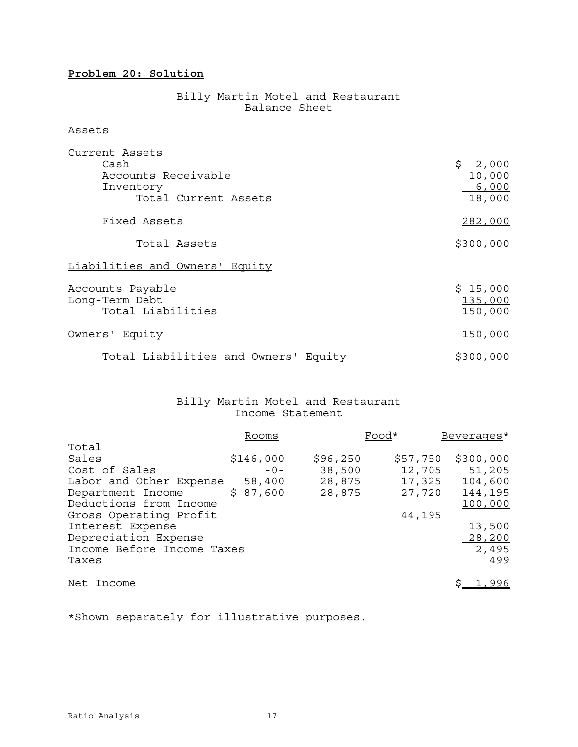# **Problem 20: Solution**

#### Billy Martin Motel and Restaurant **Balance Sheet**

#### Assets

| Current Assets<br>Cash<br>Accounts Receivable<br>Inventory<br>Total Current Assets | \$2,000<br>10,000<br>6,000<br>18,000 |
|------------------------------------------------------------------------------------|--------------------------------------|
| Fixed Assets                                                                       | 282,000                              |
| Total Assets                                                                       | \$300,000                            |
| Liabilities and Owners' Equity                                                     |                                      |
| Accounts Payable<br>Long-Term Debt<br>Total Liabilities                            | \$15,000<br>135,000<br>150,000       |
| Owners' Equity                                                                     | 150,000                              |
| Total Liabilities and Owners' Equity                                               | \$300,000                            |

#### Billy Martin Motel and Restaurant Income Statement

|                            | Rooms     |          | Food*    | Beverages*     |
|----------------------------|-----------|----------|----------|----------------|
| <u>Total</u>               |           |          |          |                |
| Sales                      | \$146,000 | \$96,250 | \$57,750 | \$300,000      |
| Cost of Sales              | $-0-$     | 38,500   | 12,705   | 51,205         |
| Labor and Other Expense    | 58,400    | 28,875   | 17,325   | 104,600        |
| Department Income          | \$87,600  | 28,875   | 27,720   | 144,195        |
| Deductions from Income     |           |          |          | 100,000        |
| Gross Operating Profit     |           |          | 44,195   |                |
| Interest Expense           |           |          |          | 13,500         |
| Depreciation Expense       |           |          |          | 28,200         |
| Income Before Income Taxes |           |          |          | 2,495          |
| Taxes                      |           |          |          | 499            |
|                            |           |          |          |                |
| Net Income                 |           |          |          | <u>s 1,996</u> |

\*Shown separately for illustrative purposes.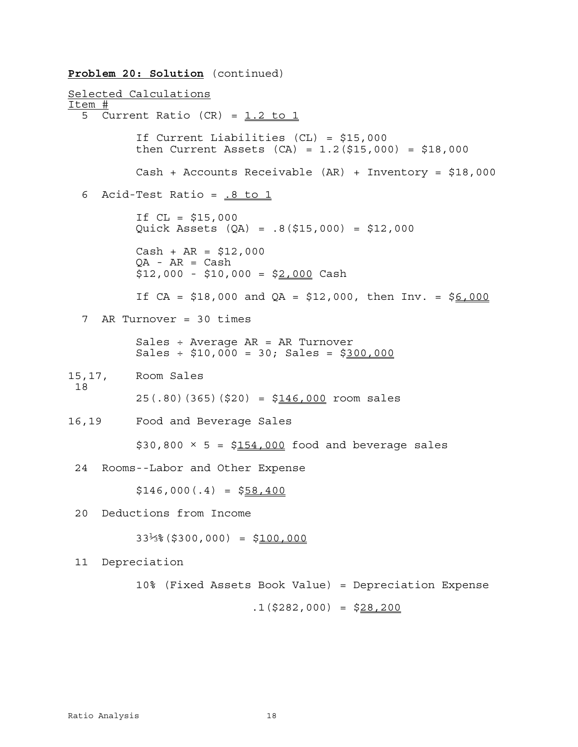**Problem 20: Solution** (continued) Selected Calculations Item # 5 Current Ratio  $(CR) = 1.2$  to 1 If Current Liabilities (CL) = \$15,000 then Current Assets  $(CA) = 1.2(15,000) = 1.8,000$ Cash + Accounts Receivable (AR) + Inventory = \$18,000 6 Acid-Test Ratio =  $.8$  to 1 If  $CL = $15,000$ Quick Assets (QA) = .8(\$15,000) = \$12,000  $Cash + AR = $12,000$  $QA - AR = Cash$  $$12,000 - $10,000 = $2,000$  Cash If  $CA = $18,000$  and  $QA = $12,000$ , then  $Inv = $6,000$  7 AR Turnover = 30 times Sales ÷ Average AR = AR Turnover  $Sales \div $10,000 = 30$ ; Sales = \$300,000 15,17, Room Sales 18  $25(.80)(365)($20) = $146,000$  room sales 16,19 Food and Beverage Sales  $$30,800 \times 5 = $154,000$  food and beverage sales 24 Rooms--Labor and Other Expense  $$146,000(.4) = $58,400$  20 Deductions from Income  $33\frac{1}{3}\$  (\$300,000) = \$100,000 11 Depreciation 10% (Fixed Assets Book Value) = Depreciation Expense

 $.1$ (\$282,000) = \$28,200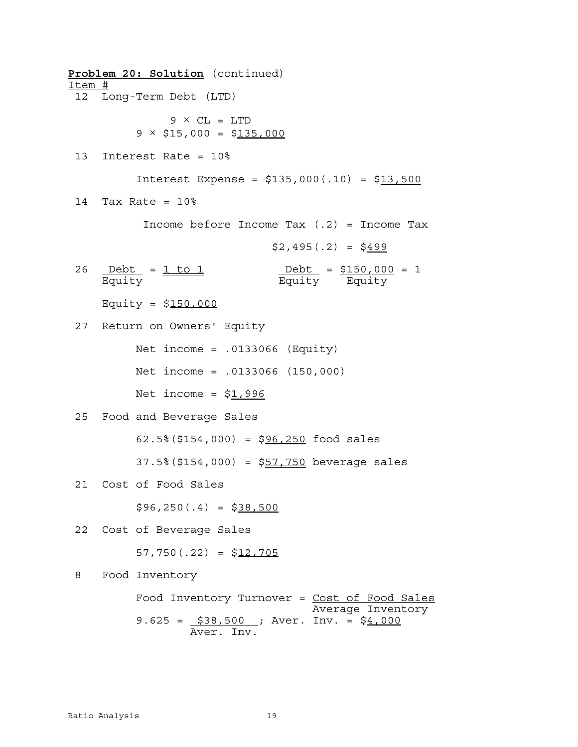**Problem 20: Solution** (continued) Item # 12 Long-Term Debt (LTD)  $9 \times CL = LTD$  $9 \times $15,000 = $135,000$  13 Interest Rate = 10% Interest Expense =  $$135,000(.10) = $13,500$  14 Tax Rate = 10% Income before Income Tax  $(.2)$  = Income Tax  $$2,495(.2) = $499$ 26 <u>Debt</u> = <u>1 to 1</u> Debt = \$150,000 = 1 Equity Equity Equity Equity = \$150,000 27 Return on Owners' Equity Net income = .0133066 (Equity) Net income = .0133066 (150,000) Net income =  $$1,996$  25 Food and Beverage Sales  $62.5\%$  (\$154,000) = \$96,250 food sales  $37.5\%$  (\$154,000) = \$57,750 beverage sales 21 Cost of Food Sales  $$96,250(.4) = $38,500$  22 Cost of Beverage Sales 57,750 $(.22) = $12,705$  8 Food Inventory Food Inventory Turnover = Cost of Food Sales Average Inventory 9.625 =  $$38,500$  ; Aver. Inv. = \$4,000 Aver. Inv.